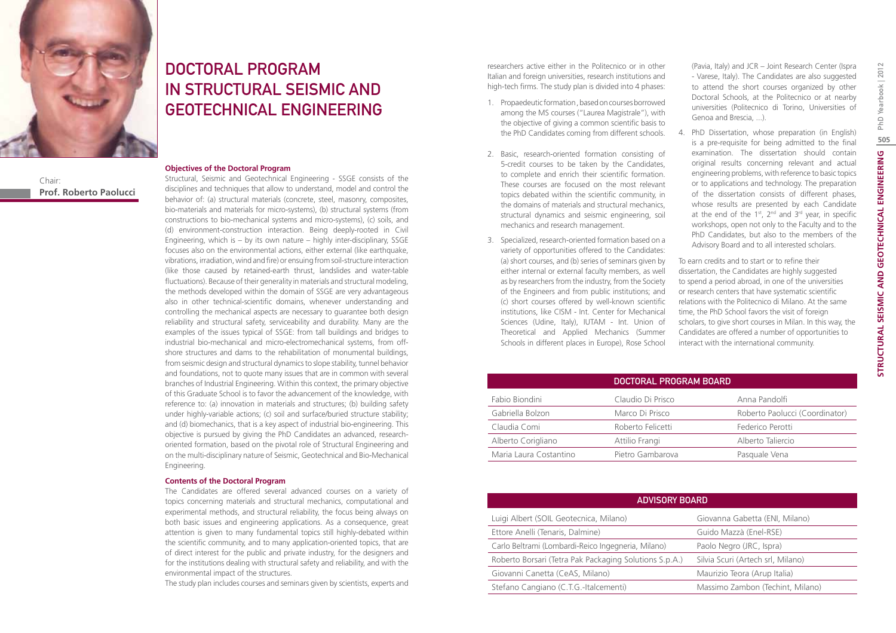

Chair: **Prof. Roberto Paolucci**

# DOCTORAL PROGRAM IN STRUCTURAL SEISMIC AND GEOTECHNICAL ENGINEERING

#### **Objectives of the Doctoral Program**

Structural, Seismic and Geotechnical Engineering - SSGE consists of the disciplines and techniques that allow to understand, model and control the behavior of: (a) structural materials (concrete, steel, masonry, composites, bio-materials and materials for micro-systems), (b) structural systems (from constructions to bio-mechanical systems and micro-systems), (c) soils, and (d) environment-construction interaction. Being deeply-rooted in Civil Engineering, which is – by its own nature – highly inter-disciplinary, SSGE focuses also on the environmental actions, either external (like earthquake, vibrations, irradiation, wind and fire) or ensuing from soil-structure interaction (like those caused by retained-earth thrust, landslides and water-table fluctuations). Because of their generality in materials and structural modeling, the methods developed within the domain of SSGE are very advantageous also in other technical-scientific domains, whenever understanding and controlling the mechanical aspects are necessary to guarantee both design reliability and structural safety, serviceability and durability. Many are the examples of the issues typical of SSGE: from tall buildings and bridges to industrial bio-mechanical and micro-electromechanical systems, from offshore structures and dams to the rehabilitation of monumental buildings, from seismic design and structural dynamics to slope stability, tunnel behavior and foundations, not to quote many issues that are in common with several branches of Industrial Engineering. Within this context, the primary objective of this Graduate School is to favor the advancement of the knowledge, with reference to: (a) innovation in materials and structures; (b) building safety under highly-variable actions; (c) soil and surface/buried structure stability; and (d) biomechanics, that is a key aspect of industrial bio-engineering. This objective is pursued by giving the PhD Candidates an advanced, researchoriented formation, based on the pivotal role of Structural Engineering and on the multi-disciplinary nature of Seismic, Geotechnical and Bio-Mechanical Engineering.

#### **Contents of the Doctoral Program**

The Candidates are offered several advanced courses on a variety of topics concerning materials and structural mechanics, computational and experimental methods, and structural reliability, the focus being always on both basic issues and engineering applications. As a consequence, great attention is given to many fundamental topics still highly-debated within the scientific community, and to many application-oriented topics, that are of direct interest for the public and private industry, for the designers and for the institutions dealing with structural safety and reliability, and with the environmental impact of the structures.

The study plan includes courses and seminars given by scientists, experts and

researchers active either in the Politecnico or in other Italian and foreign universities, research institutions and high-tech firms. The study plan is divided into 4 phases:

- 1. Propaedeutic formation , based on courses borrowed among the MS courses ("Laurea Magistrale"), with the objective of giving a common scientific basis to the PhD Candidates coming from different schools.
- 2. Basic, research-oriented formation consisting of 5-credit courses to be taken by the Candidates, to complete and enrich their scientific formation. These courses are focused on the most relevant topics debated within the scientific community, in the domains of materials and structural mechanics, structural dynamics and seismic engineering, soil mechanics and research management.
- 3. Specialized, research-oriented formation based on a variety of opportunities offered to the Candidates: (a) short courses, and (b) series of seminars given by either internal or external faculty members, as well as by researchers from the industry, from the Society of the Engineers and from public institutions; and (c) short courses offered by well-known scientific institutions, like CISM - Int. Center for Mechanical Sciences (Udine, Italy), IUTAM - Int. Union of Theoretical and Applied Mechanics (Summer Schools in different places in Europe), Rose School

(Pavia, Italy) and JCR – Joint Research Center (Ispra - Varese, Italy). The Candidates are also suggested to attend the short courses organized by other Doctoral Schools, at the Politecnico or at nearby universities (Politecnico di Torino, Universities of Genoa and Brescia, ...).

4. PhD Dissertation, whose preparation (in English) is a pre-requisite for being admitted to the final examination. The dissertation should contain original results concerning relevant and actual engineering problems, with reference to basic topics or to applications and technology. The preparation of the dissertation consists of different phases, whose results are presented by each Candidate at the end of the  $1<sup>st</sup>$ ,  $2<sup>nd</sup>$  and  $3<sup>rd</sup>$  year, in specific workshops, open not only to the Faculty and to the PhD Candidates, but also to the members of the Advisory Board and to all interested scholars.

To earn credits and to start or to refine their dissertation, the Candidates are highly suggested to spend a period abroad, in one of the universities or research centers that have systematic scientific relations with the Politecnico di Milano. At the same time, the PhD School favors the visit of foreign scholars, to give short courses in Milan. In this way, the Candidates are offered a number of opportunities to interact with the international community.

|                        | DOCTORAL PROGRAM BOARD |                                |
|------------------------|------------------------|--------------------------------|
| Fabio Biondini         | Claudio Di Prisco      | Anna Pandolfi                  |
| Gabriella Bolzon       | Marco Di Prisco        | Roberto Paolucci (Coordinator) |
| Claudia Comi           | Roberto Felicetti      | Federico Perotti               |
| Alberto Corigliano     | Attilio Frangi         | Alberto Taliercio              |
| Maria Laura Costantino | Pietro Gambarova       | Pasquale Vena                  |

| <b>ADVISORY BOARD</b>                                  |                                   |  |  |
|--------------------------------------------------------|-----------------------------------|--|--|
| Luigi Albert (SOIL Geotecnica, Milano)                 | Giovanna Gabetta (ENI, Milano)    |  |  |
| Ettore Anelli (Tenaris, Dalmine)                       | Guido Mazzà (Enel-RSE)            |  |  |
| Carlo Beltrami (Lombardi-Reico Ingegneria, Milano)     | Paolo Negro (JRC, Ispra)          |  |  |
| Roberto Borsari (Tetra Pak Packaging Solutions S.p.A.) | Silvia Scuri (Artech srl, Milano) |  |  |
| Giovanni Canetta (CeAS, Milano)                        | Maurizio Teora (Arup Italia)      |  |  |
| Stefano Cangiano (C.T.G.-Italcementi)                  | Massimo Zambon (Techint, Milano)  |  |  |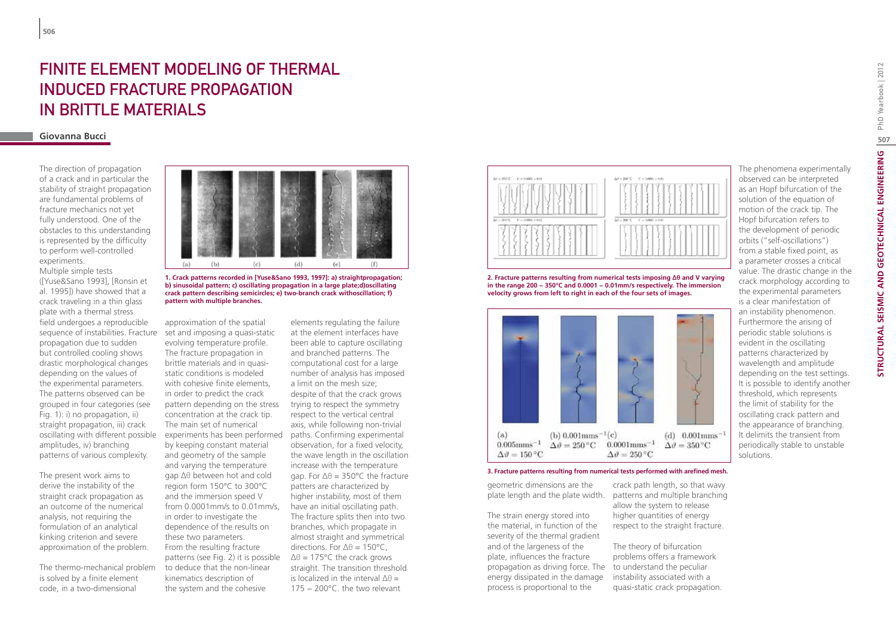# FINITE ELEMENT MODELING OF THERMAL induced fracture propagation in brittle materials

#### **Giovanna Bucci**

The direction of propagation of a crack and in particular the stability of straight propagation are fundamental problems of fracture mechanics not yet fully understood. One of the obstacles to this understanding is represented by the difficulty to perform well-controlled experiments.

Multiple simple tests ([Yuse&Sano 1993], [Ronsin et al. 1995]) have showed that a crack traveling in a thin glass plate with a thermal stress field undergoes a reproducible propagation due to sudden but controlled cooling shows drastic morphological changes depending on the values of the experimental parameters. The patterns observed can be grouped in four categories (see Fig. 1): i) no propagation, ii) straight propagation, iii) crack oscillating with different possible amplitudes, iv) branching patterns of various complexity.

The present work aims to derive the instability of the straight crack propagation as an outcome of the numerical analysis, not requiring the formulation of an analytical kinking criterion and severe approximation of the problem.

The thermo-mechanical problem is solved by a finite element code, in a two-dimensional



**1. Crack patterns recorded in [Yuse&Sano 1993, 1997]: a) straightpropagation; b) sinusoidal pattern; c) oscillating propagation in a large plate;d)oscillating crack pattern describing semicircles; e) two-branch crack withoscillation; f) pattern with multiple branches.**

sequence of instabilities. Fracture set and imposing a quasi-static approximation of the spatial evolving temperature profile. The fracture propagation in brittle materials and in quasistatic conditions is modeled with cohesive finite elements, in order to predict the crack pattern depending on the stress concentration at the crack tip. The main set of numerical by keeping constant material and geometry of the sample and varying the temperature gap ∆θ between hot and cold region form 150°C to 300°C and the immersion speed V from 0.0001mm/s to 0.01mm/s, in order to investigate the dependence of the results on these two parameters. From the resulting fracture patterns (see Fig. 2) it is possible to deduce that the non-linear kinematics description of the system and the cohesive

experiments has been performed paths. Confirming experimental elements regulating the failure at the element interfaces have been able to capture oscillating and branched patterns. The computational cost for a large number of analysis has imposed a limit on the mesh size; despite of that the crack grows trying to respect the symmetry respect to the vertical central axis, while following non-trivial observation, for a fixed velocity, the wave length in the oscillation increase with the temperature gap. For ∆θ = 350°C the fracture patters are characterized by higher instability, most of them have an initial oscillating path. The fracture splits then into two branches, which propagate in almost straight and symmetrical directions. For ∆θ = 150°C,  $Δθ = 175°C$  the crack grows straight. The transition threshold is localized in the interval ∆θ = 175 − 200°C. the two relevant



**2. Fracture patterns resulting from numerical tests imposing ∆θ and V varying in the range 200 − 350°C and 0.0001 − 0.01mm/s respectively. The immersion velocity grows from left to right in each of the four sets of images.**



**3. Fracture patterns resulting from numerical tests performed with arefined mesh.**

geometric dimensions are the

The strain energy stored into the material, in function of the severity of the thermal gradient and of the largeness of the plate, influences the fracture propagation as driving force. The to understand the peculiar energy dissipated in the damage process is proportional to the

plate length and the plate width. patterns and multiple branching crack path length, so that wavy allow the system to release higher quantities of energy respect to the straight fracture.

> The theory of bifurcation problems offers a framework instability associated with a quasi-static crack propagation.

The phenomena experimentally observed can be interpreted as an Hopf bifurcation of the solution of the equation of motion of the crack tip. The Hopf bifurcation refers to the development of periodic orbits ("self-oscillations") from a stable fixed point, as a parameter crosses a critical value. The drastic change in the crack morphology according to the experimental parameters is a clear manifestation of an instability phenomenon. Furthermore the arising of periodic stable solutions is evident in the oscillating patterns characterized by wavelength and amplitude depending on the test settings. It is possible to identify another threshold, which represents the limit of stability for the oscillating crack pattern and the appearance of branching. It delimits the transient from periodically stable to unstable solutions.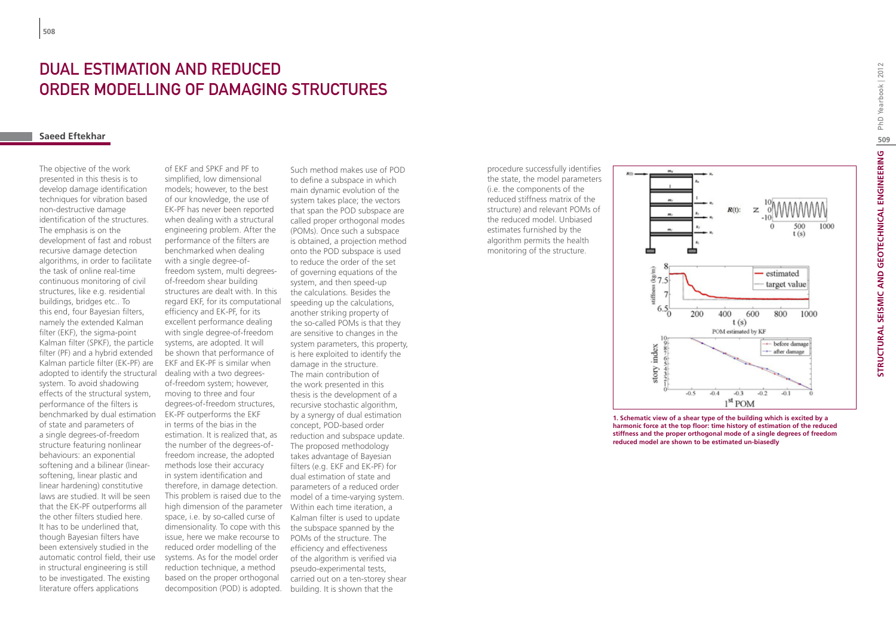# Dual estimation and reduced order modelling of damaging structures

### **Saeed Eftekhar**

The objective of the work presented in this thesis is to develop damage identification techniques for vibration based non-destructive damage identification of the structures. The emphasis is on the development of fast and robust recursive damage detection algorithms, in order to facilitate the task of online real-time continuous monitoring of civil structures, like e.g. residential buildings, bridges etc.. To this end, four Bayesian filters, namely the extended Kalman filter (EKF), the sigma-point Kalman filter (SPKF), the particle filter (PF) and a hybrid extended Kalman particle filter (EK-PF) are adopted to identify the structural system. To avoid shadowing effects of the structural system, performance of the filters is benchmarked by dual estimation of state and parameters of a single degrees-of-freedom structure featuring nonlinear behaviours: an exponential softening and a bilinear (linearsoftening, linear plastic and linear hardening) constitutive laws are studied. It will be seen that the EK-PF outperforms all the other filters studied here. It has to be underlined that, though Bayesian filters have been extensively studied in the automatic control field, their use in structural engineering is still to be investigated. The existing literature offers applications

of EKF and SPKF and PF to simplified, low dimensional models; however, to the best of our knowledge, the use of EK-PF has never been reported when dealing with a structural engineering problem. After the performance of the filters are benchmarked when dealing with a single degree-offreedom system, multi degreesof-freedom shear building structures are dealt with. In this regard EKF, for its computational efficiency and EK-PF, for its excellent performance dealing with single degree-of-freedom systems, are adopted. It will be shown that performance of EKF and EK-PF is similar when dealing with a two degreesof-freedom system; however, moving to three and four degrees-of-freedom structures, EK-PF outperforms the EKF in terms of the bias in the estimation. It is realized that, as the number of the degrees-offreedom increase, the adopted methods lose their accuracy in system identification and therefore, in damage detection. This problem is raised due to the high dimension of the parameter Within each time iteration, a space, i.e. by so-called curse of dimensionality. To cope with this issue, here we make recourse to reduced order modelling of the systems. As for the model order reduction technique, a method based on the proper orthogonal decomposition (POD) is adopted.

Such method makes use of POD to define a subspace in which main dynamic evolution of the system takes place; the vectors that span the POD subspace are called proper orthogonal modes (POMs). Once such a subspace is obtained, a projection method onto the POD subspace is used to reduce the order of the set of governing equations of the system, and then speed-up the calculations. Besides the speeding up the calculations, another striking property of the so-called POMs is that they are sensitive to changes in the system parameters, this property, is here exploited to identify the damage in the structure. The main contribution of the work presented in this thesis is the development of a recursive stochastic algorithm, by a synergy of dual estimation concept, POD-based order reduction and subspace update. The proposed methodology takes advantage of Bayesian filters (e.g. EKF and EK-PF) for dual estimation of state and parameters of a reduced order model of a time-varying system. Kalman filter is used to update the subspace spanned by the POMs of the structure. The efficiency and effectiveness of the algorithm is verified via pseudo-experimental tests, carried out on a ten-storey shear building. It is shown that the

procedure successfully identifies the state, the model parameters (i.e. the components of the reduced stiffness matrix of the structure) and relevant POMs of the reduced model. Unbiased estimates furnished by the algorithm permits the health monitoring of the structure.



**1. Schematic view of a shear type of the building which is excited by a harmonic force at the top floor: time history of estimation of the reduced stiffness and the proper orthogonal mode of a single degrees of freedom reduced model are shown to be estimated un-biasedly**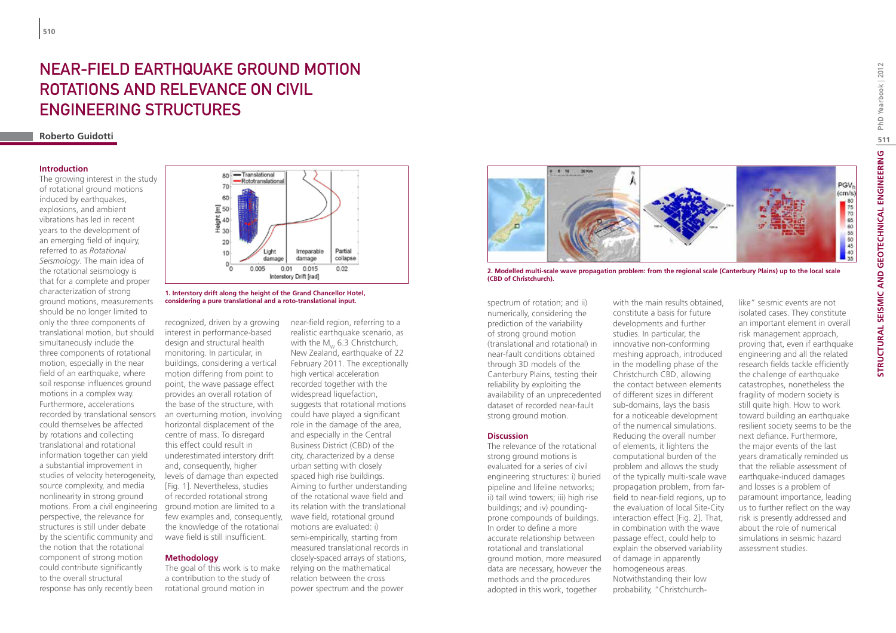# NEAR-FIELD EARTHQUAKE GROUND MOTION ROTATIONS AND RELEVANCE ON CIVIL ENGINEERING STRUCTURES

### **Roberto Guidotti**

#### **Introduction**

The growing interest in the study of rotational ground motions induced by earthquakes. explosions, and ambient vibrations has led in recent years to the development of an emerging field of inquiry, referred to as *Rotational Seismology*. The main idea of the rotational seismology is that for a complete and proper characterization of strong ground motions, measurements should be no longer limited to only the three components of translational motion, but should simultaneously include the three components of rotational motion, especially in the near field of an earthquake, where soil response influences ground motions in a complex way. Furthermore, accelerations recorded by translational sensors could themselves be affected by rotations and collecting translational and rotational information together can yield a substantial improvement in studies of velocity heterogeneity, source complexity, and media nonlinearity in strong ground motions. From a civil engineering perspective, the relevance for structures is still under debate by the scientific community and the notion that the rotational component of strong motion could contribute significantly to the overall structural response has only recently been





recognized, driven by a growing interest in performance-based design and structural health monitoring. In particular, in buildings, considering a vertical motion differing from point to point, the wave passage effect provides an overall rotation of the base of the structure, with an overturning motion, involving horizontal displacement of the centre of mass. To disregard this effect could result in underestimated interstory drift and, consequently, higher levels of damage than expected [Fig. 1]. Nevertheless, studies of recorded rotational strong ground motion are limited to a few examples and, consequently, the knowledge of the rotational wave field is still insufficient.

### **Methodology**

The goal of this work is to make a contribution to the study of rotational ground motion in

near-field region, referring to a realistic earthquake scenario, as with the  $M_w$  6.3 Christchurch, New Zealand, earthquake of 22 February 2011. The exceptionally high vertical acceleration recorded together with the widespread liquefaction. suggests that rotational motions could have played a significant role in the damage of the area, and especially in the Central Business District (CBD) of the city, characterized by a dense urban setting with closely spaced high rise buildings. Aiming to further understanding of the rotational wave field and its relation with the translational wave field, rotational ground motions are evaluated: i) semi-empirically, starting from measured translational records in closely-spaced arrays of stations, relying on the mathematical relation between the cross power spectrum and the power



**2. Modelled multi-scale wave propagation problem: from the regional scale (Canterbury Plains) up to the local scale (CBD of Christchurch).**

spectrum of rotation; and ii) numerically, considering the prediction of the variability of strong ground motion (translational and rotational) in near-fault conditions obtained through 3D models of the Canterbury Plains, testing their reliability by exploiting the availability of an unprecedented dataset of recorded near-fault strong ground motion.

#### **Discussion**

The relevance of the rotational strong ground motions is evaluated for a series of civil engineering structures: i) buried pipeline and lifeline networks; ii) tall wind towers; iii) high rise buildings; and iv) poundingprone compounds of buildings. In order to define a more accurate relationship between rotational and translational ground motion, more measured data are necessary, however the methods and the procedures adopted in this work, together

with the main results obtained, constitute a basis for future developments and further studies. In particular, the innovative non-conforming meshing approach, introduced in the modelling phase of the Christchurch CBD, allowing the contact between elements of different sizes in different sub-domains, lays the basis for a noticeable development of the numerical simulations. Reducing the overall number of elements, it lightens the computational burden of the problem and allows the study of the typically multi-scale wave propagation problem, from farfield to near-field regions, up to the evaluation of local Site-City interaction effect [Fig. 2]. That, in combination with the wave passage effect, could help to explain the observed variability of damage in apparently homogeneous areas. Notwithstanding their low probability, "Christchurch-

like" seismic events are not isolated cases. They constitute an important element in overall risk management approach, proving that, even if earthquake engineering and all the related research fields tackle efficiently the challenge of earthquake catastrophes, nonetheless the fragility of modern society is still quite high. How to work toward building an earthquake resilient society seems to be the next defiance. Furthermore, the major events of the last years dramatically reminded us that the reliable assessment of earthquake-induced damages and losses is a problem of paramount importance, leading us to further reflect on the way risk is presently addressed and about the role of numerical simulations in seismic hazard assessment studies.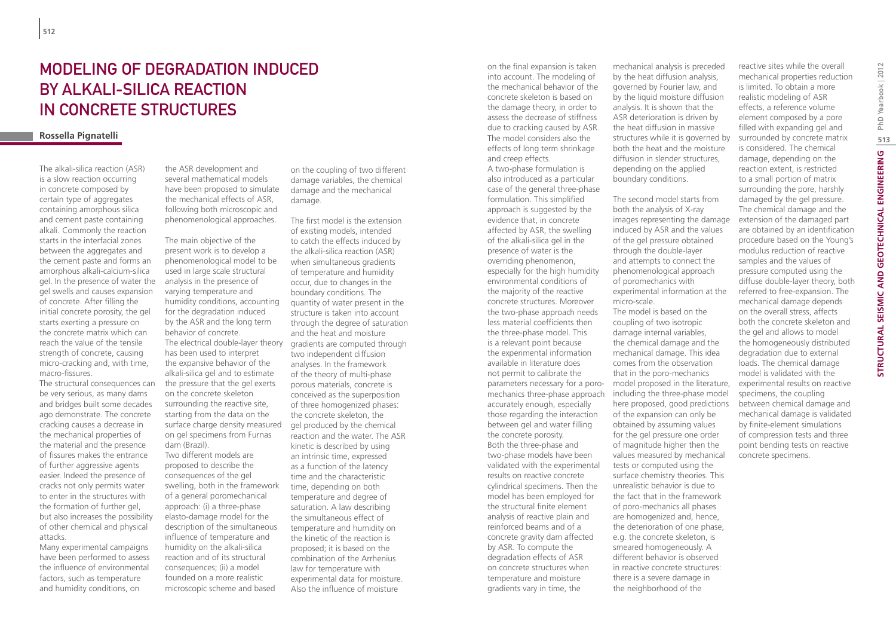## Modeling of degradation induced by alkali-silica reaction in concrete structures

### **Rossella Pignatelli**

The alkali-silica reaction (ASR) is a slow reaction occurring in concrete composed by certain type of aggregates containing amorphous silica and cement paste containing alkali. Commonly the reaction starts in the interfacial zones between the aggregates and the cement paste and forms an amorphous alkali-calcium-silica gel. In the presence of water the gel swells and causes expansion of concrete. After filling the initial concrete porosity, the gel starts exerting a pressure on the concrete matrix which can reach the value of the tensile strength of concrete, causing micro-cracking and, with time, macro-fissures.

The structural consequences can be very serious, as many dams and bridges built some decades ago demonstrate. The concrete cracking causes a decrease in the mechanical properties of the material and the presence of fissures makes the entrance of further aggressive agents easier. Indeed the presence of cracks not only permits water to enter in the structures with the formation of further gel, but also increases the possibility of other chemical and physical attacks.

Many experimental campaigns have been performed to assess the influence of environmental factors, such as temperature and humidity conditions, on

the ASR development and several mathematical models have been proposed to simulate the mechanical effects of ASR, following both microscopic and phenomenological approaches.

The main objective of the present work is to develop a phenomenological model to be used in large scale structural analysis in the presence of varying temperature and humidity conditions, accounting for the degradation induced by the ASR and the long term behavior of concrete. has been used to interpret the expansive behavior of the alkali-silica gel and to estimate the pressure that the gel exerts on the concrete skeleton surrounding the reactive site, starting from the data on the surface charge density measured on gel specimens from Furnas dam (Brazil). Two different models are proposed to describe the consequences of the gel

swelling, both in the framework of a general poromechanical approach: (i) a three-phase elasto-damage model for the description of the simultaneous influence of temperature and humidity on the alkali-silica reaction and of its structural consequences; (ii) a model founded on a more realistic microscopic scheme and based

on the coupling of two different damage variables, the chemical damage and the mechanical damage.

The electrical double-layer theory gradients are computed through The first model is the extension of existing models, intended to catch the effects induced by the alkali-silica reaction (ASR) when simultaneous gradients of temperature and humidity occur, due to changes in the boundary conditions. The quantity of water present in the structure is taken into account through the degree of saturation and the heat and moisture two independent diffusion analyses. In the framework of the theory of multi-phase porous materials, concrete is conceived as the superposition of three homogenized phases: the concrete skeleton, the gel produced by the chemical reaction and the water. The ASR kinetic is described by using an intrinsic time, expressed as a function of the latency time and the characteristic time, depending on both temperature and degree of saturation. A law describing the simultaneous effect of temperature and humidity on the kinetic of the reaction is proposed; it is based on the combination of the Arrhenius law for temperature with experimental data for moisture. Also the influence of moisture

on the final expansion is taken into account. The modeling of the mechanical behavior of the concrete skeleton is based on the damage theory, in order to assess the decrease of stiffness due to cracking caused by ASR. The model considers also the effects of long term shrinkage and creep effects. A two-phase formulation is also introduced as a particular case of the general three-phase formulation. This simplified approach is suggested by the evidence that, in concrete affected by ASR, the swelling of the alkali-silica gel in the presence of water is the overriding phenomenon, especially for the high humidity environmental conditions of the majority of the reactive concrete structures. Moreover the two-phase approach needs less material coefficients then the three-phase model. This is a relevant point because the experimental information available in literature does not permit to calibrate the accurately enough, especially those regarding the interaction between gel and water filling the concrete porosity. Both the three-phase and two-phase models have been validated with the experimental results on reactive concrete cylindrical specimens. Then the model has been employed for the structural finite element analysis of reactive plain and reinforced beams and of a concrete gravity dam affected by ASR. To compute the degradation effects of ASR on concrete structures when temperature and moisture gradients vary in time, the

mechanical analysis is preceded by the heat diffusion analysis, governed by Fourier law, and by the liquid moisture diffusion analysis. It is shown that the ASR deterioration is driven by the heat diffusion in massive structures while it is governed by both the heat and the moisture diffusion in slender structures, depending on the applied boundary conditions.

parameters necessary for a poro-model proposed in the literature, mechanics three-phase approach including the three-phase model The second model starts from both the analysis of X-ray images representing the damage induced by ASR and the values of the gel pressure obtained through the double-layer and attempts to connect the phenomenological approach of poromechanics with experimental information at the micro-scale. The model is based on the coupling of two isotropic damage internal variables, the chemical damage and the mechanical damage. This idea comes from the observation that in the poro-mechanics here proposed, good predictions of the expansion can only be obtained by assuming values for the gel pressure one order of magnitude higher then the values measured by mechanical tests or computed using the surface chemistry theories. This unrealistic behavior is due to the fact that in the framework of poro-mechanics all phases are homogenized and, hence, the deterioration of one phase, e.g. the concrete skeleton, is smeared homogeneously. A different behavior is observed in reactive concrete structures: there is a severe damage in the neighborhood of the

reactive sites while the overall mechanical properties reduction is limited. To obtain a more realistic modeling of ASR effects, a reference volume element composed by a pore filled with expanding gel and surrounded by concrete matrix is considered. The chemical damage, depending on the reaction extent, is restricted to a small portion of matrix surrounding the pore, harshly damaged by the gel pressure. The chemical damage and the extension of the damaged part are obtained by an identification procedure based on the Young's modulus reduction of reactive samples and the values of pressure computed using the diffuse double-layer theory, both referred to free-expansion. The mechanical damage depends on the overall stress, affects both the concrete skeleton and the gel and allows to model the homogeneously distributed degradation due to external loads. The chemical damage model is validated with the experimental results on reactive specimens, the coupling between chemical damage and mechanical damage is validated by finite-element simulations of compression tests and three point bending tests on reactive concrete specimens.